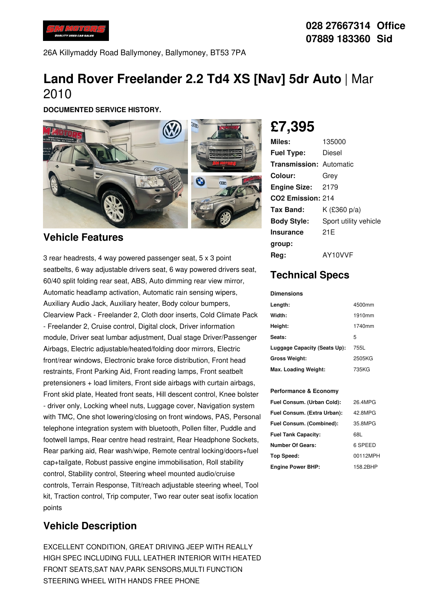

26A Killymaddy Road Ballymoney, Ballymoney, BT53 7PA

# **Land Rover Freelander 2.2 Td4 XS [Nav] 5dr Auto** | Mar 2010

**DOCUMENTED SERVICE HISTORY.**



#### **Vehicle Features**

3 rear headrests, 4 way powered passenger seat, 5 x 3 point seatbelts, 6 way adjustable drivers seat, 6 way powered drivers seat, 60/40 split folding rear seat, ABS, Auto dimming rear view mirror, Automatic headlamp activation, Automatic rain sensing wipers, Auxiliary Audio Jack, Auxiliary heater, Body colour bumpers, Clearview Pack - Freelander 2, Cloth door inserts, Cold Climate Pack - Freelander 2, Cruise control, Digital clock, Driver information module, Driver seat lumbar adjustment, Dual stage Driver/Passenger Airbags, Electric adjustable/heated/folding door mirrors, Electric front/rear windows, Electronic brake force distribution, Front head restraints, Front Parking Aid, Front reading lamps, Front seatbelt pretensioners + load limiters, Front side airbags with curtain airbags, Front skid plate, Heated front seats, Hill descent control, Knee bolster - driver only, Locking wheel nuts, Luggage cover, Navigation system with TMC, One shot lowering/closing on front windows, PAS, Personal telephone integration system with bluetooth, Pollen filter, Puddle and footwell lamps, Rear centre head restraint, Rear Headphone Sockets, Rear parking aid, Rear wash/wipe, Remote central locking/doors+fuel cap+tailgate, Robust passive engine immobilisation, Roll stability control, Stability control, Steering wheel mounted audio/cruise controls, Terrain Response, Tilt/reach adjustable steering wheel, Tool kit, Traction control, Trip computer, Two rear outer seat isofix location points

### **Vehicle Description**

EXCELLENT CONDITION, GREAT DRIVING JEEP WITH REALLY HIGH SPEC INCLUDING FULL LEATHER INTERIOR WITH HEATED FRONT SEATS,SAT NAV,PARK SENSORS,MULTI FUNCTION STEERING WHEEL WITH HANDS FREE PHONE

**£7,395**

| Miles:                         | 135000                |
|--------------------------------|-----------------------|
| <b>Fuel Type:</b>              | Diesel                |
| <b>Transmission: Automatic</b> |                       |
| Colour:                        | Grev                  |
| <b>Engine Size: 2179</b>       |                       |
| CO <sub>2</sub> Emission: 214  |                       |
| Tax Band:                      | K (£360 p/a)          |
| <b>Body Style:</b>             | Sport utility vehicle |
| <b>Insurance</b>               | 21E                   |
| group:                         |                       |
| Reg:                           | AY10VVF               |

## **Technical Specs**

**Dimensions**

| Length:                      | 4500mm |
|------------------------------|--------|
| Width:                       | 1910mm |
| Height:                      | 1740mm |
| Seats:                       | 5      |
| Luggage Capacity (Seats Up): | 755L   |
| <b>Gross Weight:</b>         | 2505KG |
| Max. Loading Weight:         | 735KG  |

#### **Performance & Economy**

| Fuel Consum. (Urban Cold):  | 26.4MPG  |
|-----------------------------|----------|
| Fuel Consum. (Extra Urban): | 42.8MPG  |
| Fuel Consum. (Combined):    | 35.8MPG  |
| <b>Fuel Tank Capacity:</b>  | 68L      |
| <b>Number Of Gears:</b>     | 6 SPEED  |
| <b>Top Speed:</b>           | 00112MPH |
| <b>Engine Power BHP:</b>    | 158.2BHP |